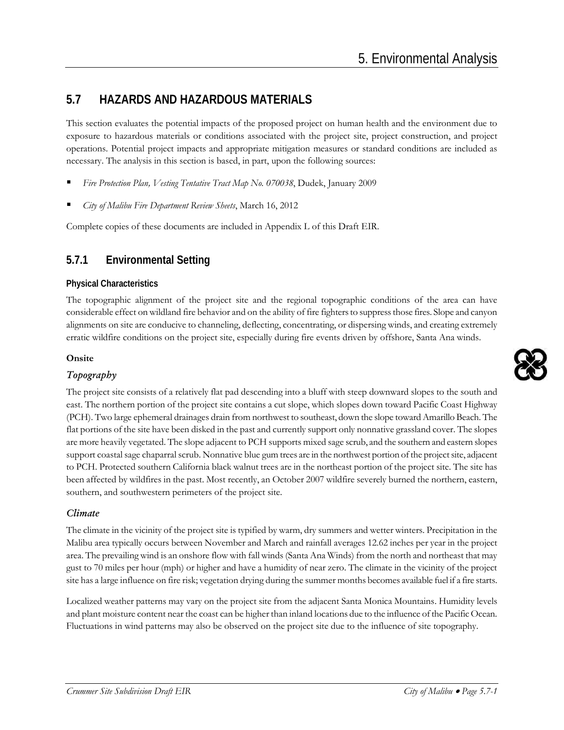# **5.7 HAZARDS AND HAZARDOUS MATERIALS**

This section evaluates the potential impacts of the proposed project on human health and the environment due to exposure to hazardous materials or conditions associated with the project site, project construction, and project operations. Potential project impacts and appropriate mitigation measures or standard conditions are included as necessary. The analysis in this section is based, in part, upon the following sources:

- *Fire Protection Plan, Vesting Tentative Tract Map No. 070038*, Dudek, January 2009
- *City of Malibu Fire Department Review Sheets*, March 16, 2012

Complete copies of these documents are included in Appendix L of this Draft EIR.

# **5.7.1 Environmental Setting**

#### **Physical Characteristics**

The topographic alignment of the project site and the regional topographic conditions of the area can have considerable effect on wildland fire behavior and on the ability of fire fighters to suppress those fires. Slope and canyon alignments on site are conducive to channeling, deflecting, concentrating, or dispersing winds, and creating extremely erratic wildfire conditions on the project site, especially during fire events driven by offshore, Santa Ana winds.

#### **Onsite**

#### *Topography*

The project site consists of a relatively flat pad descending into a bluff with steep downward slopes to the south and east. The northern portion of the project site contains a cut slope, which slopes down toward Pacific Coast Highway (PCH). Two large ephemeral drainages drain from northwest to southeast, down the slope toward Amarillo Beach. The flat portions of the site have been disked in the past and currently support only nonnative grassland cover. The slopes are more heavily vegetated. The slope adjacent to PCH supports mixed sage scrub, and the southern and eastern slopes support coastal sage chaparral scrub. Nonnative blue gum trees are in the northwest portion of the project site, adjacent to PCH. Protected southern California black walnut trees are in the northeast portion of the project site. The site has been affected by wildfires in the past. Most recently, an October 2007 wildfire severely burned the northern, eastern, southern, and southwestern perimeters of the project site.

#### *Climate*

The climate in the vicinity of the project site is typified by warm, dry summers and wetter winters. Precipitation in the Malibu area typically occurs between November and March and rainfall averages 12.62 inches per year in the project area. The prevailing wind is an onshore flow with fall winds (Santa Ana Winds) from the north and northeast that may gust to 70 miles per hour (mph) or higher and have a humidity of near zero. The climate in the vicinity of the project site has a large influence on fire risk; vegetation drying during the summer months becomes available fuel if a fire starts.

Localized weather patterns may vary on the project site from the adjacent Santa Monica Mountains. Humidity levels and plant moisture content near the coast can be higher than inland locations due to the influence of the Pacific Ocean. Fluctuations in wind patterns may also be observed on the project site due to the influence of site topography.

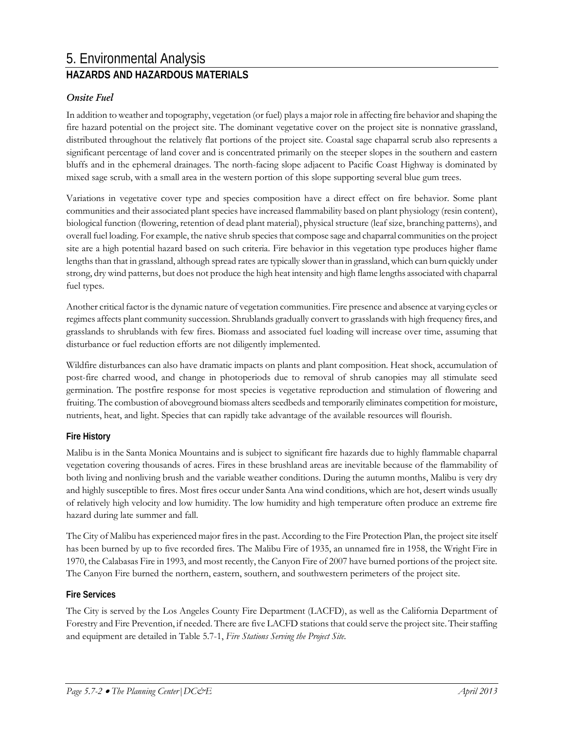#### *Onsite Fuel*

In addition to weather and topography, vegetation (or fuel) plays a major role in affecting fire behavior and shaping the fire hazard potential on the project site. The dominant vegetative cover on the project site is nonnative grassland, distributed throughout the relatively flat portions of the project site. Coastal sage chaparral scrub also represents a significant percentage of land cover and is concentrated primarily on the steeper slopes in the southern and eastern bluffs and in the ephemeral drainages. The north-facing slope adjacent to Pacific Coast Highway is dominated by mixed sage scrub, with a small area in the western portion of this slope supporting several blue gum trees.

Variations in vegetative cover type and species composition have a direct effect on fire behavior. Some plant communities and their associated plant species have increased flammability based on plant physiology (resin content), biological function (flowering, retention of dead plant material), physical structure (leaf size, branching patterns), and overall fuel loading. For example, the native shrub species that compose sage and chaparral communities on the project site are a high potential hazard based on such criteria. Fire behavior in this vegetation type produces higher flame lengths than that in grassland, although spread rates are typically slowerthan in grassland, which can burn quickly under strong, dry wind patterns, but does not produce the high heat intensity and high flame lengths associated with chaparral fuel types.

Another critical factor is the dynamic nature of vegetation communities. Fire presence and absence at varying cycles or regimes affects plant community succession. Shrublands gradually convert to grasslands with high frequency fires, and grasslands to shrublands with few fires. Biomass and associated fuel loading will increase over time, assuming that disturbance or fuel reduction efforts are not diligently implemented.

Wildfire disturbances can also have dramatic impacts on plants and plant composition. Heat shock, accumulation of post-fire charred wood, and change in photoperiods due to removal of shrub canopies may all stimulate seed germination. The postfire response for most species is vegetative reproduction and stimulation of flowering and fruiting. The combustion of aboveground biomass alters seedbeds and temporarily eliminates competition for moisture, nutrients, heat, and light. Species that can rapidly take advantage of the available resources will flourish.

#### **Fire History**

Malibu is in the Santa Monica Mountains and is subject to significant fire hazards due to highly flammable chaparral vegetation covering thousands of acres. Fires in these brushland areas are inevitable because of the flammability of both living and nonliving brush and the variable weather conditions. During the autumn months, Malibu is very dry and highly susceptible to fires. Most fires occur under Santa Ana wind conditions, which are hot, desert winds usually of relatively high velocity and low humidity. The low humidity and high temperature often produce an extreme fire hazard during late summer and fall.

The City of Malibu has experienced major fires in the past. According to the Fire Protection Plan, the project site itself has been burned by up to five recorded fires. The Malibu Fire of 1935, an unnamed fire in 1958, the Wright Fire in 1970, the Calabasas Fire in 1993, and most recently, the Canyon Fire of 2007 have burned portions of the project site. The Canyon Fire burned the northern, eastern, southern, and southwestern perimeters of the project site.

#### **Fire Services**

The City is served by the Los Angeles County Fire Department (LACFD), as well as the California Department of Forestry and Fire Prevention, if needed. There are five LACFD stations that could serve the project site. Their staffing and equipment are detailed in Table 5.7-1, *Fire Stations Serving the Project Site*.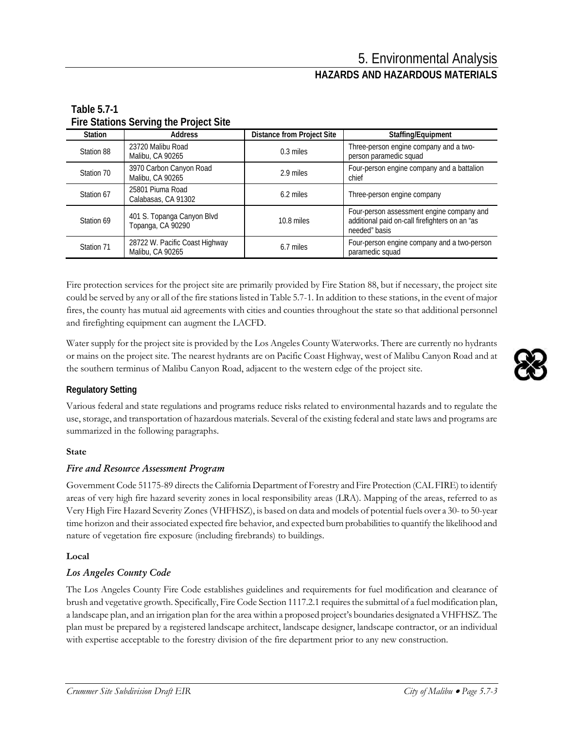| Station    | <b>Address</b>                                     | Distance from Project Site | Staffing/Equipment                                                                                           |
|------------|----------------------------------------------------|----------------------------|--------------------------------------------------------------------------------------------------------------|
| Station 88 | 23720 Malibu Road<br>Malibu, CA 90265              | $0.3$ miles                | Three-person engine company and a two-<br>person paramedic squad                                             |
| Station 70 | 3970 Carbon Canyon Road<br>Malibu, CA 90265        | 2.9 miles                  | Four-person engine company and a battalion<br>chief                                                          |
| Station 67 | 25801 Piuma Road<br>Calabasas, CA 91302            | 6.2 miles                  | Three-person engine company                                                                                  |
| Station 69 | 401 S. Topanga Canyon Blvd<br>Topanga, CA 90290    | 10.8 miles                 | Four-person assessment engine company and<br>additional paid on-call firefighters on an "as<br>needed" basis |
| Station 71 | 28722 W. Pacific Coast Highway<br>Malibu, CA 90265 | 6.7 miles                  | Four-person engine company and a two-person<br>paramedic squad                                               |

### **Table 5.7-1 Fire Stations Serving the Project Site**

Fire protection services for the project site are primarily provided by Fire Station 88, but if necessary, the project site could be served by any or all of the fire stations listed in Table 5.7-1. In addition to these stations, in the event of major fires, the county has mutual aid agreements with cities and counties throughout the state so that additional personnel and firefighting equipment can augment the LACFD.

Water supply for the project site is provided by the Los Angeles County Waterworks. There are currently no hydrants or mains on the project site. The nearest hydrants are on Pacific Coast Highway, west of Malibu Canyon Road and at the southern terminus of Malibu Canyon Road, adjacent to the western edge of the project site.

#### **Regulatory Setting**

Various federal and state regulations and programs reduce risks related to environmental hazards and to regulate the use, storage, and transportation of hazardous materials. Several of the existing federal and state laws and programs are summarized in the following paragraphs.

#### **State**

### *Fire and Resource Assessment Program*

Government Code 51175-89 directs the California Department of Forestry and Fire Protection (CAL FIRE) to identify areas of very high fire hazard severity zones in local responsibility areas (LRA). Mapping of the areas, referred to as Very High Fire Hazard Severity Zones (VHFHSZ), is based on data and models of potential fuels over a 30- to 50-year time horizon and their associated expected fire behavior, and expected burn probabilities to quantify the likelihood and nature of vegetation fire exposure (including firebrands) to buildings.

#### **Local**

### *Los Angeles County Code*

The Los Angeles County Fire Code establishes guidelines and requirements for fuel modification and clearance of brush and vegetative growth. Specifically, Fire Code Section 1117.2.1 requires the submittal of a fuel modification plan, a landscape plan, and an irrigation plan for the area within a proposed project's boundaries designated a VHFHSZ. The plan must be prepared by a registered landscape architect, landscape designer, landscape contractor, or an individual with expertise acceptable to the forestry division of the fire department prior to any new construction.

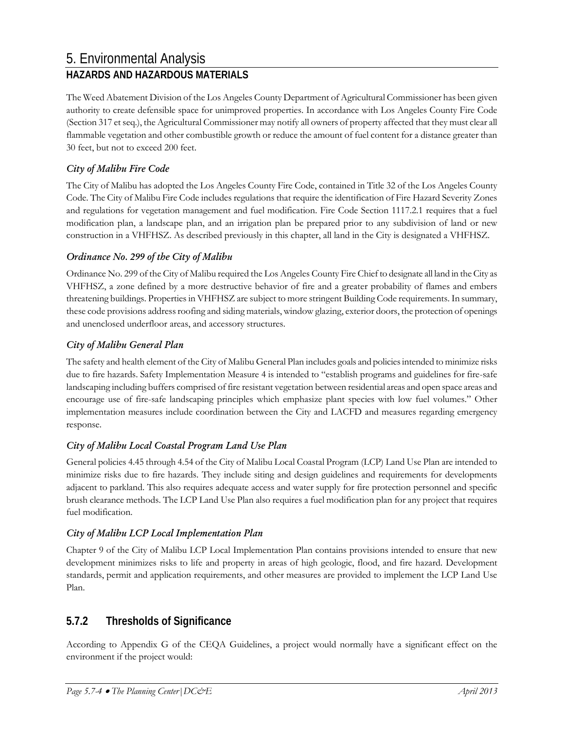# **HAZARDS AND HAZARDOUS MATERIALS**

The Weed Abatement Division of the Los Angeles County Department of Agricultural Commissioner has been given authority to create defensible space for unimproved properties. In accordance with Los Angeles County Fire Code (Section 317 et seq.), the Agricultural Commissioner may notify all owners of property affected that they must clear all flammable vegetation and other combustible growth or reduce the amount of fuel content for a distance greater than 30 feet, but not to exceed 200 feet.

### *City of Malibu Fire Code*

The City of Malibu has adopted the Los Angeles County Fire Code, contained in Title 32 of the Los Angeles County Code. The City of Malibu Fire Code includes regulations that require the identification of Fire Hazard Severity Zones and regulations for vegetation management and fuel modification. Fire Code Section 1117.2.1 requires that a fuel modification plan, a landscape plan, and an irrigation plan be prepared prior to any subdivision of land or new construction in a VHFHSZ. As described previously in this chapter, all land in the City is designated a VHFHSZ.

### *Ordinance No. 299 of the City of Malibu*

Ordinance No. 299 of the City of Malibu required the Los Angeles County Fire Chief to designate all land in the City as VHFHSZ, a zone defined by a more destructive behavior of fire and a greater probability of flames and embers threatening buildings. Properties in VHFHSZ are subject to more stringent Building Code requirements. In summary, these code provisions address roofing and siding materials, window glazing, exterior doors, the protection of openings and unenclosed underfloor areas, and accessory structures.

### *City of Malibu General Plan*

The safety and health element of the City of Malibu General Plan includes goals and policies intended to minimize risks due to fire hazards. Safety Implementation Measure 4 is intended to "establish programs and guidelines for fire-safe landscaping including buffers comprised of fire resistant vegetation between residential areas and open space areas and encourage use of fire-safe landscaping principles which emphasize plant species with low fuel volumes." Other implementation measures include coordination between the City and LACFD and measures regarding emergency response.

### *City of Malibu Local Coastal Program Land Use Plan*

General policies 4.45 through 4.54 of the City of Malibu Local Coastal Program (LCP) Land Use Plan are intended to minimize risks due to fire hazards. They include siting and design guidelines and requirements for developments adjacent to parkland. This also requires adequate access and water supply for fire protection personnel and specific brush clearance methods. The LCP Land Use Plan also requires a fuel modification plan for any project that requires fuel modification.

### *City of Malibu LCP Local Implementation Plan*

Chapter 9 of the City of Malibu LCP Local Implementation Plan contains provisions intended to ensure that new development minimizes risks to life and property in areas of high geologic, flood, and fire hazard. Development standards, permit and application requirements, and other measures are provided to implement the LCP Land Use Plan.

# **5.7.2 Thresholds of Significance**

According to Appendix G of the CEQA Guidelines, a project would normally have a significant effect on the environment if the project would: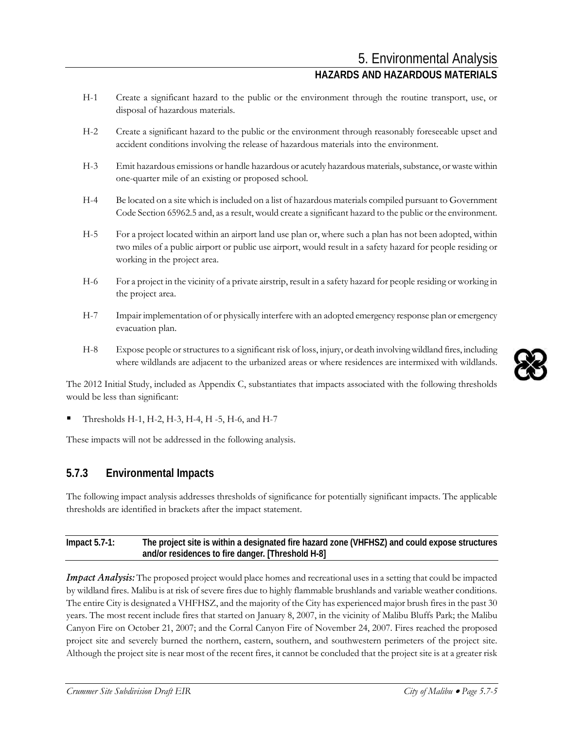- H-1 Create a significant hazard to the public or the environment through the routine transport, use, or disposal of hazardous materials.
- H-2 Create a significant hazard to the public or the environment through reasonably foreseeable upset and accident conditions involving the release of hazardous materials into the environment.
- H-3 Emit hazardous emissions or handle hazardous or acutely hazardous materials, substance, or waste within one-quarter mile of an existing or proposed school.
- H-4 Be located on a site which is included on a list of hazardous materials compiled pursuant to Government Code Section 65962.5 and, as a result, would create a significant hazard to the public or the environment.
- H-5 For a project located within an airport land use plan or, where such a plan has not been adopted, within two miles of a public airport or public use airport, would result in a safety hazard for people residing or working in the project area.
- H-6 For a project in the vicinity of a private airstrip, result in a safety hazard for people residing or working in the project area.
- H-7 Impair implementation of or physically interfere with an adopted emergency response plan or emergency evacuation plan.
- H-8 Expose people or structures to a significant risk of loss, injury, or death involving wildland fires, including where wildlands are adjacent to the urbanized areas or where residences are intermixed with wildlands.

The 2012 Initial Study, included as Appendix C, substantiates that impacts associated with the following thresholds would be less than significant:

Thresholds H-1, H-2, H-3, H-4, H -5, H-6, and H-7

These impacts will not be addressed in the following analysis.

### **5.7.3 Environmental Impacts**

The following impact analysis addresses thresholds of significance for potentially significant impacts. The applicable thresholds are identified in brackets after the impact statement.

#### **Impact 5.7-1: The project site is within a designated fire hazard zone (VHFHSZ) and could expose structures and/or residences to fire danger. [Threshold H-8]**

*Impact Analysis:* The proposed project would place homes and recreational uses in a setting that could be impacted by wildland fires. Malibu is at risk of severe fires due to highly flammable brushlands and variable weather conditions. The entire City is designated a VHFHSZ, and the majority of the City has experienced major brush fires in the past 30 years. The most recent include fires that started on January 8, 2007, in the vicinity of Malibu Bluffs Park; the Malibu Canyon Fire on October 21, 2007; and the Corral Canyon Fire of November 24, 2007. Fires reached the proposed project site and severely burned the northern, eastern, southern, and southwestern perimeters of the project site. Although the project site is near most of the recent fires, it cannot be concluded that the project site is at a greater risk

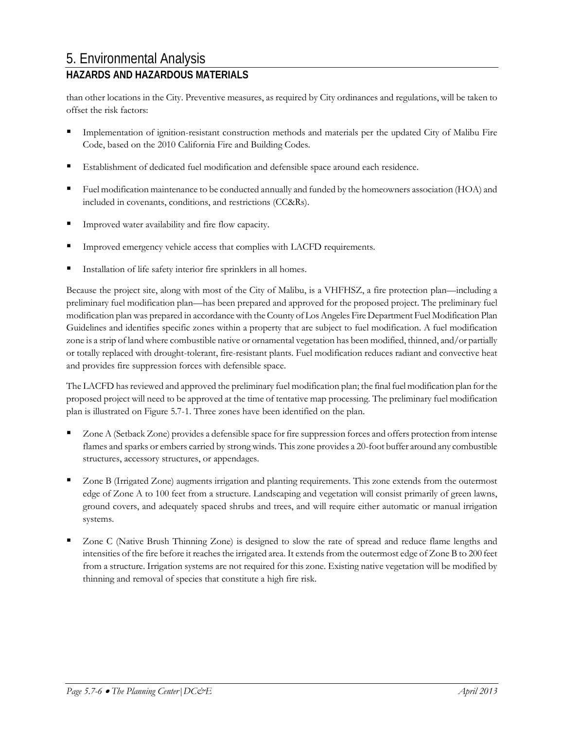### **HAZARDS AND HAZARDOUS MATERIALS**

than other locations in the City. Preventive measures, as required by City ordinances and regulations, will be taken to offset the risk factors:

- Implementation of ignition-resistant construction methods and materials per the updated City of Malibu Fire Code, based on the 2010 California Fire and Building Codes.
- Establishment of dedicated fuel modification and defensible space around each residence.
- Fuel modification maintenance to be conducted annually and funded by the homeowners association (HOA) and included in covenants, conditions, and restrictions (CC&Rs).
- Improved water availability and fire flow capacity.
- Improved emergency vehicle access that complies with LACFD requirements.
- Installation of life safety interior fire sprinklers in all homes.

Because the project site, along with most of the City of Malibu, is a VHFHSZ, a fire protection plan—including a preliminary fuel modification plan—has been prepared and approved for the proposed project. The preliminary fuel modification plan was prepared in accordance with the County of Los Angeles Fire Department Fuel Modification Plan Guidelines and identifies specific zones within a property that are subject to fuel modification. A fuel modification zone is a strip of land where combustible native or ornamental vegetation has been modified, thinned, and/or partially or totally replaced with drought-tolerant, fire-resistant plants. Fuel modification reduces radiant and convective heat and provides fire suppression forces with defensible space.

The LACFD has reviewed and approved the preliminary fuel modification plan; the final fuel modification plan for the proposed project will need to be approved at the time of tentative map processing. The preliminary fuel modification plan is illustrated on Figure 5.7-1. Three zones have been identified on the plan.

- Zone A (Setback Zone) provides a defensible space for fire suppression forces and offers protection from intense flames and sparks or embers carried by strong winds. This zone provides a 20-foot buffer around any combustible structures, accessory structures, or appendages.
- Zone B (Irrigated Zone) augments irrigation and planting requirements. This zone extends from the outermost edge of Zone A to 100 feet from a structure. Landscaping and vegetation will consist primarily of green lawns, ground covers, and adequately spaced shrubs and trees, and will require either automatic or manual irrigation systems.
- Zone C (Native Brush Thinning Zone) is designed to slow the rate of spread and reduce flame lengths and intensities of the fire before it reaches the irrigated area. It extends from the outermost edge of Zone B to 200 feet from a structure. Irrigation systems are not required for this zone. Existing native vegetation will be modified by thinning and removal of species that constitute a high fire risk.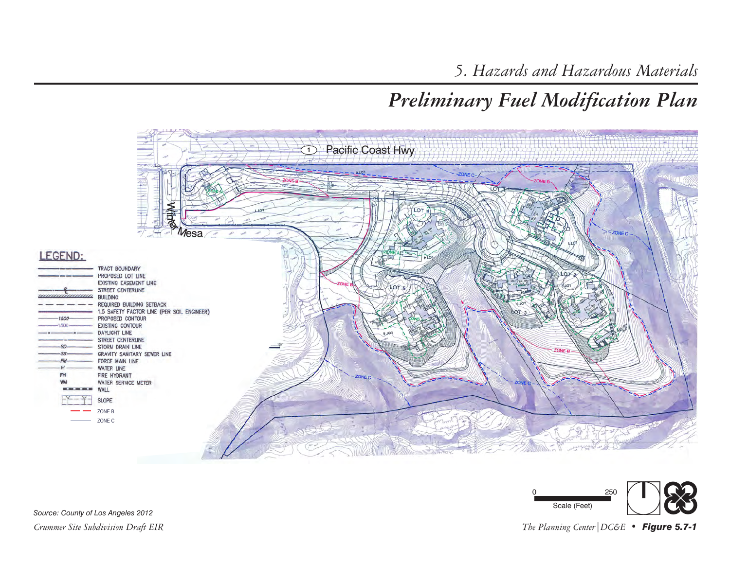*5. Hazards and Hazardous Materials*

# *Preliminary Fuel Modification Plan*





*Source: County of Los Angeles 2012*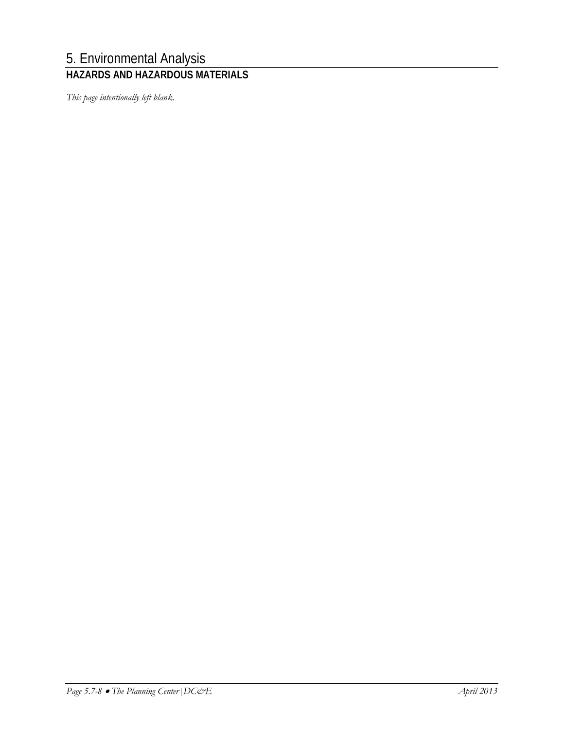*This page intentionally left blank.*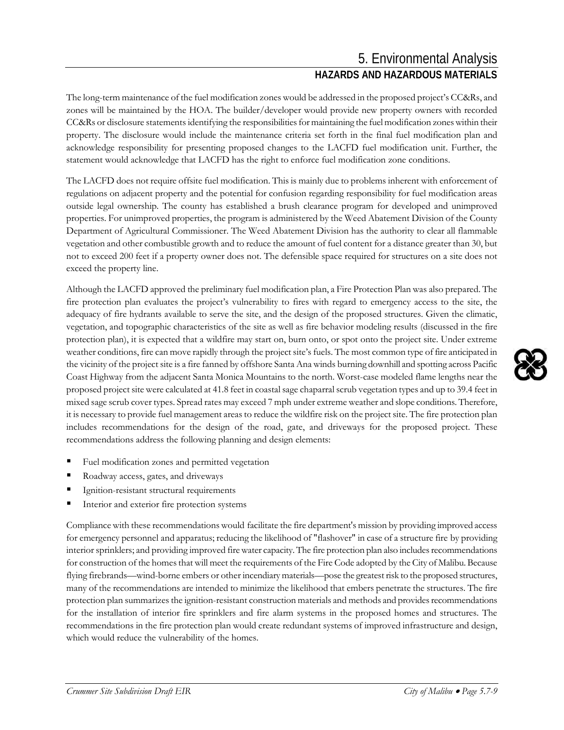The long-term maintenance of the fuel modification zones would be addressed in the proposed project's CC&Rs, and zones will be maintained by the HOA. The builder/developer would provide new property owners with recorded CC&Rs or disclosure statements identifying the responsibilities for maintaining the fuel modification zones within their property. The disclosure would include the maintenance criteria set forth in the final fuel modification plan and acknowledge responsibility for presenting proposed changes to the LACFD fuel modification unit. Further, the statement would acknowledge that LACFD has the right to enforce fuel modification zone conditions.

The LACFD does not require offsite fuel modification. This is mainly due to problems inherent with enforcement of regulations on adjacent property and the potential for confusion regarding responsibility for fuel modification areas outside legal ownership. The county has established a brush clearance program for developed and unimproved properties. For unimproved properties, the program is administered by the Weed Abatement Division of the County Department of Agricultural Commissioner. The Weed Abatement Division has the authority to clear all flammable vegetation and other combustible growth and to reduce the amount of fuel content for a distance greater than 30, but not to exceed 200 feet if a property owner does not. The defensible space required for structures on a site does not exceed the property line.

Although the LACFD approved the preliminary fuel modification plan, a Fire Protection Plan was also prepared. The fire protection plan evaluates the project's vulnerability to fires with regard to emergency access to the site, the adequacy of fire hydrants available to serve the site, and the design of the proposed structures. Given the climatic, vegetation, and topographic characteristics of the site as well as fire behavior modeling results (discussed in the fire protection plan), it is expected that a wildfire may start on, burn onto, or spot onto the project site. Under extreme weather conditions, fire can move rapidly through the project site's fuels. The most common type of fire anticipated in the vicinity of the project site is a fire fanned by offshore Santa Ana winds burning downhill and spotting across Pacific Coast Highway from the adjacent Santa Monica Mountains to the north. Worst-case modeled flame lengths near the proposed project site were calculated at 41.8 feet in coastal sage chaparral scrub vegetation types and up to 39.4 feet in mixed sage scrub cover types. Spread rates may exceed 7 mph under extreme weather and slope conditions. Therefore, it is necessary to provide fuel management areas to reduce the wildfire risk on the project site. The fire protection plan includes recommendations for the design of the road, gate, and driveways for the proposed project. These recommendations address the following planning and design elements:

- Fuel modification zones and permitted vegetation
- Roadway access, gates, and driveways
- Ignition-resistant structural requirements
- Interior and exterior fire protection systems

Compliance with these recommendations would facilitate the fire department's mission by providing improved access for emergency personnel and apparatus; reducing the likelihood of "flashover" in case of a structure fire by providing interior sprinklers; and providing improved fire water capacity. The fire protection plan also includes recommendations for construction of the homes that will meet the requirements of the Fire Code adopted by the City of Malibu. Because flying firebrands—wind-borne embers or other incendiary materials—pose the greatest risk to the proposed structures, many of the recommendations are intended to minimize the likelihood that embers penetrate the structures. The fire protection plan summarizes the ignition-resistant construction materials and methods and provides recommendations for the installation of interior fire sprinklers and fire alarm systems in the proposed homes and structures. The recommendations in the fire protection plan would create redundant systems of improved infrastructure and design, which would reduce the vulnerability of the homes.

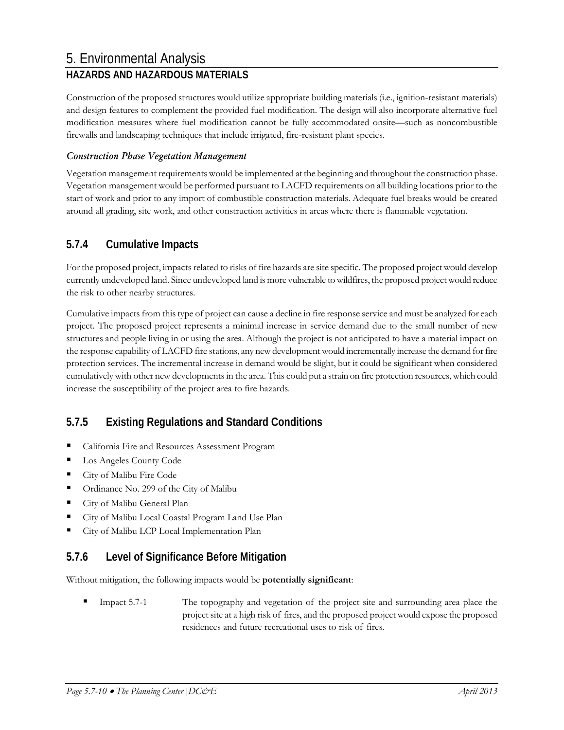### **HAZARDS AND HAZARDOUS MATERIALS**

Construction of the proposed structures would utilize appropriate building materials (i.e., ignition-resistant materials) and design features to complement the provided fuel modification. The design will also incorporate alternative fuel modification measures where fuel modification cannot be fully accommodated onsite—such as noncombustible firewalls and landscaping techniques that include irrigated, fire-resistant plant species.

#### *Construction Phase Vegetation Management*

Vegetation management requirements would be implemented at the beginning and throughout the construction phase. Vegetation management would be performed pursuant to LACFD requirements on all building locations prior to the start of work and prior to any import of combustible construction materials. Adequate fuel breaks would be created around all grading, site work, and other construction activities in areas where there is flammable vegetation.

### **5.7.4 Cumulative Impacts**

For the proposed project, impacts related to risks of fire hazards are site specific. The proposed project would develop currently undeveloped land. Since undeveloped land is more vulnerable to wildfires, the proposed project would reduce the risk to other nearby structures.

Cumulative impacts from this type of project can cause a decline in fire response service and must be analyzed for each project. The proposed project represents a minimal increase in service demand due to the small number of new structures and people living in or using the area. Although the project is not anticipated to have a material impact on the response capability of LACFD fire stations, any new development would incrementally increase the demand for fire protection services. The incremental increase in demand would be slight, but it could be significant when considered cumulatively with other new developments in the area. This could put a strain on fire protection resources, which could increase the susceptibility of the project area to fire hazards.

### **5.7.5 Existing Regulations and Standard Conditions**

- California Fire and Resources Assessment Program
- Los Angeles County Code
- City of Malibu Fire Code
- Ordinance No. 299 of the City of Malibu
- **City of Malibu General Plan**
- City of Malibu Local Coastal Program Land Use Plan
- City of Malibu LCP Local Implementation Plan

### **5.7.6 Level of Significance Before Mitigation**

Without mitigation, the following impacts would be **potentially significant**:

Impact 5.7-1 The topography and vegetation of the project site and surrounding area place the project site at a high risk of fires, and the proposed project would expose the proposed residences and future recreational uses to risk of fires.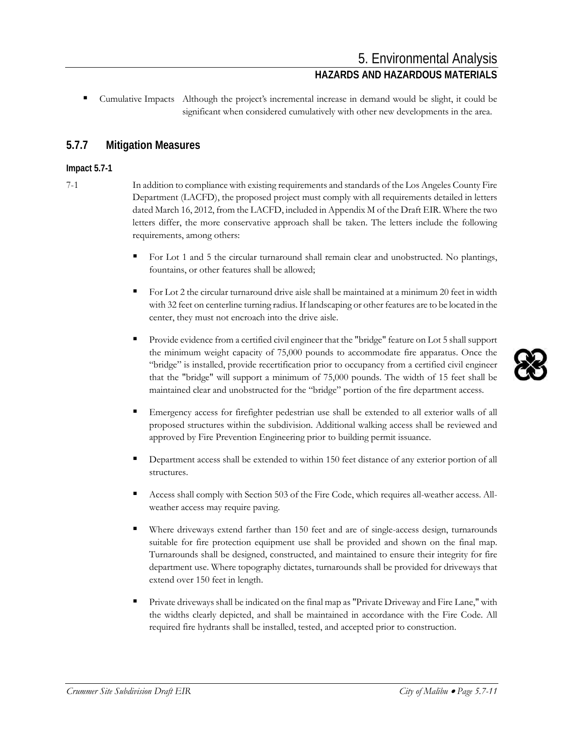Cumulative Impacts Although the project's incremental increase in demand would be slight, it could be significant when considered cumulatively with other new developments in the area.

# **5.7.7 Mitigation Measures**

### **Impact 5.7-1**

7-1 In addition to compliance with existing requirements and standards of the Los Angeles County Fire Department (LACFD), the proposed project must comply with all requirements detailed in letters dated March 16, 2012, from the LACFD, included in Appendix M of the Draft EIR. Where the two letters differ, the more conservative approach shall be taken. The letters include the following requirements, among others:

- For Lot 1 and 5 the circular turnaround shall remain clear and unobstructed. No plantings, fountains, or other features shall be allowed;
- For Lot 2 the circular turnaround drive aisle shall be maintained at a minimum 20 feet in width with 32 feet on centerline turning radius. If landscaping or other features are to be located in the center, they must not encroach into the drive aisle.
- Provide evidence from a certified civil engineer that the "bridge" feature on Lot 5 shall support the minimum weight capacity of 75,000 pounds to accommodate fire apparatus. Once the "bridge" is installed, provide recertification prior to occupancy from a certified civil engineer that the "bridge" will support a minimum of 75,000 pounds. The width of 15 feet shall be maintained clear and unobstructed for the "bridge" portion of the fire department access.
- Emergency access for firefighter pedestrian use shall be extended to all exterior walls of all proposed structures within the subdivision. Additional walking access shall be reviewed and approved by Fire Prevention Engineering prior to building permit issuance.
- Department access shall be extended to within 150 feet distance of any exterior portion of all structures.
- Access shall comply with Section 503 of the Fire Code, which requires all-weather access. Allweather access may require paving.
- Where driveways extend farther than 150 feet and are of single-access design, turnarounds suitable for fire protection equipment use shall be provided and shown on the final map. Turnarounds shall be designed, constructed, and maintained to ensure their integrity for fire department use. Where topography dictates, turnarounds shall be provided for driveways that extend over 150 feet in length.
- Private driveways shall be indicated on the final map as "Private Driveway and Fire Lane," with the widths clearly depicted, and shall be maintained in accordance with the Fire Code. All required fire hydrants shall be installed, tested, and accepted prior to construction.

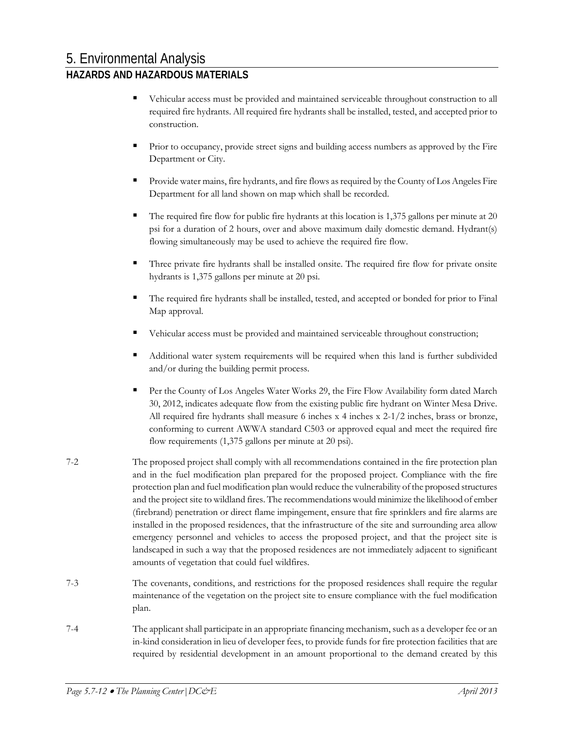### **HAZARDS AND HAZARDOUS MATERIALS**

- Vehicular access must be provided and maintained serviceable throughout construction to all required fire hydrants. All required fire hydrants shall be installed, tested, and accepted prior to construction.
- **Prior to occupancy, provide street signs and building access numbers as approved by the Fire** Department or City.
- Provide water mains, fire hydrants, and fire flows as required by the County of Los Angeles Fire Department for all land shown on map which shall be recorded.
- The required fire flow for public fire hydrants at this location is 1,375 gallons per minute at 20 psi for a duration of 2 hours, over and above maximum daily domestic demand. Hydrant(s) flowing simultaneously may be used to achieve the required fire flow.
- Three private fire hydrants shall be installed onsite. The required fire flow for private onsite hydrants is 1,375 gallons per minute at 20 psi.
- The required fire hydrants shall be installed, tested, and accepted or bonded for prior to Final Map approval.
- Vehicular access must be provided and maintained serviceable throughout construction;
- Additional water system requirements will be required when this land is further subdivided and/or during the building permit process.
- Per the County of Los Angeles Water Works 29, the Fire Flow Availability form dated March 30, 2012, indicates adequate flow from the existing public fire hydrant on Winter Mesa Drive. All required fire hydrants shall measure 6 inches x 4 inches x 2-1/2 inches, brass or bronze, conforming to current AWWA standard C503 or approved equal and meet the required fire flow requirements (1,375 gallons per minute at 20 psi).
- 7-2 The proposed project shall comply with all recommendations contained in the fire protection plan and in the fuel modification plan prepared for the proposed project. Compliance with the fire protection plan and fuel modification plan would reduce the vulnerability of the proposed structures and the project site to wildland fires. The recommendations would minimize the likelihood of ember (firebrand) penetration or direct flame impingement, ensure that fire sprinklers and fire alarms are installed in the proposed residences, that the infrastructure of the site and surrounding area allow emergency personnel and vehicles to access the proposed project, and that the project site is landscaped in such a way that the proposed residences are not immediately adjacent to significant amounts of vegetation that could fuel wildfires.
- 7-3 The covenants, conditions, and restrictions for the proposed residences shall require the regular maintenance of the vegetation on the project site to ensure compliance with the fuel modification plan.
- 7-4 The applicant shall participate in an appropriate financing mechanism, such as a developer fee or an in-kind consideration in lieu of developer fees, to provide funds for fire protection facilities that are required by residential development in an amount proportional to the demand created by this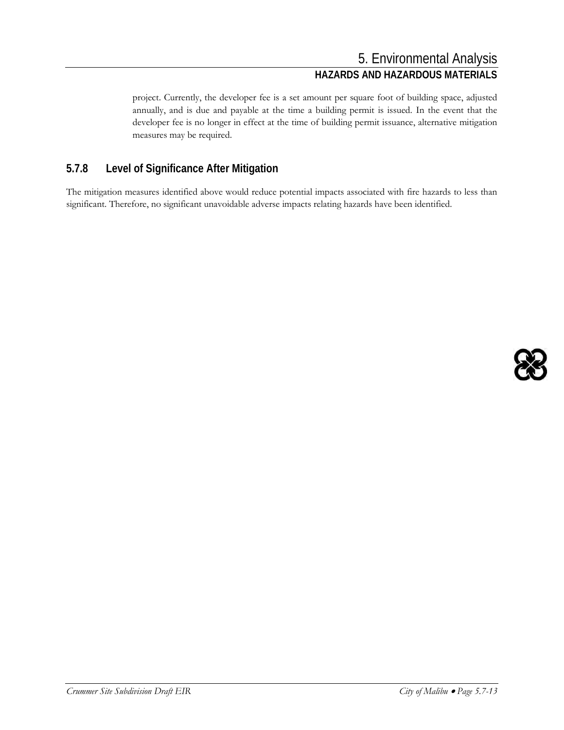project. Currently, the developer fee is a set amount per square foot of building space, adjusted annually, and is due and payable at the time a building permit is issued. In the event that the developer fee is no longer in effect at the time of building permit issuance, alternative mitigation measures may be required.

# **5.7.8 Level of Significance After Mitigation**

The mitigation measures identified above would reduce potential impacts associated with fire hazards to less than significant. Therefore, no significant unavoidable adverse impacts relating hazards have been identified.